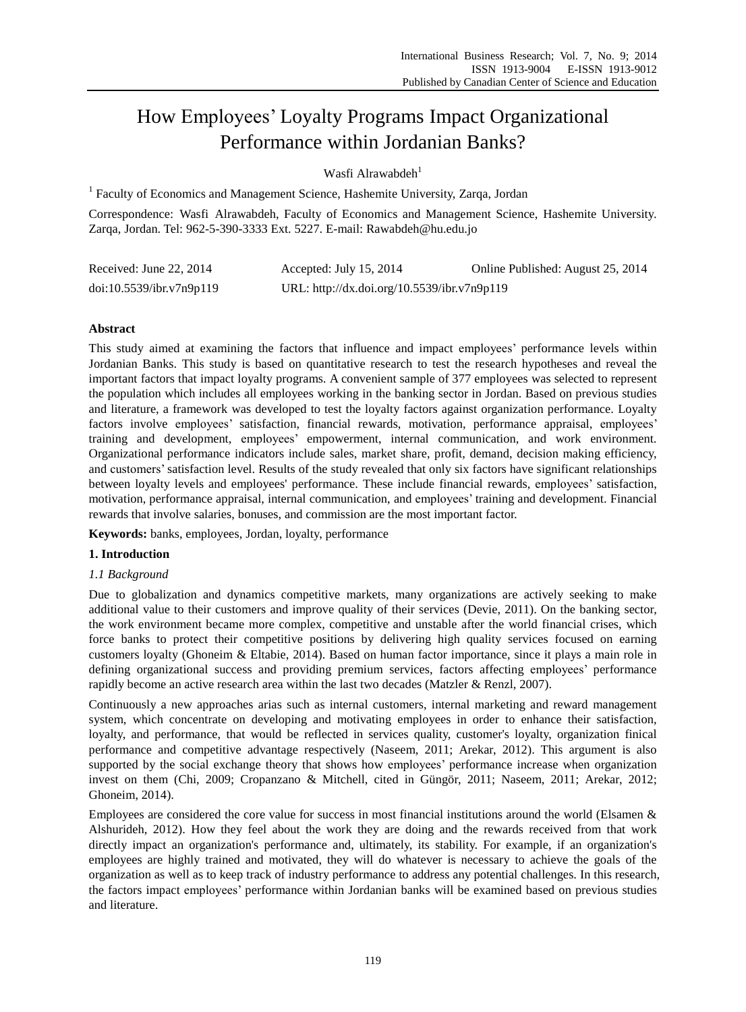# How Employees' Loyalty Programs Impact Organizational Performance within Jordanian Banks?

Wasfi Alrawabdeh<sup>1</sup>

<sup>1</sup> Faculty of Economics and Management Science, Hashemite University, Zarqa, Jordan

Correspondence: Wasfi Alrawabdeh, Faculty of Economics and Management Science, Hashemite University. Zarqa, Jordan. Tel: 962-5-390-3333 Ext. 5227. E-mail: Rawabdeh@hu.edu.jo

| Received: June $22$ , $2014$ | Accepted: July 15, 2014                     | Online Published: August 25, 2014 |
|------------------------------|---------------------------------------------|-----------------------------------|
| doi:10.5539/ibr.v7n9p119     | URL: http://dx.doi.org/10.5539/ibr.v7n9p119 |                                   |

# **Abstract**

This study aimed at examining the factors that influence and impact employees' performance levels within Jordanian Banks. This study is based on quantitative research to test the research hypotheses and reveal the important factors that impact loyalty programs. A convenient sample of 377 employees was selected to represent the population which includes all employees working in the banking sector in Jordan. Based on previous studies and literature, a framework was developed to test the loyalty factors against organization performance. Loyalty factors involve employees' satisfaction, financial rewards, motivation, performance appraisal, employees' training and development, employees' empowerment, internal communication, and work environment. Organizational performance indicators include sales, market share, profit, demand, decision making efficiency, and customers'satisfaction level. Results of the study revealed that only six factors have significant relationships between loyalty levels and employees' performance. These include financial rewards, employees' satisfaction, motivation, performance appraisal, internal communication, and employees' training and development. Financial rewards that involve salaries, bonuses, and commission are the most important factor.

**Keywords:** banks, employees, Jordan, loyalty, performance

## **1. Introduction**

## *1.1 Background*

Due to globalization and dynamics competitive markets, many organizations are actively seeking to make additional value to their customers and improve quality of their services (Devie, 2011). On the banking sector, the work environment became more complex, competitive and unstable after the world financial crises, which force banks to protect their competitive positions by delivering high quality services focused on earning customers loyalty (Ghoneim & Eltabie, 2014). Based on human factor importance, since it plays a main role in defining organizational success and providing premium services, factors affecting employees' performance rapidly become an active research area within the last two decades (Matzler & Renzl, 2007).

Continuously a new approaches arias such as internal customers, internal marketing and reward management system, which concentrate on developing and motivating employees in order to enhance their satisfaction, loyalty, and performance, that would be reflected in services quality, customer's loyalty, organization finical performance and competitive advantage respectively (Naseem, 2011; Arekar, 2012). This argument is also supported by the social exchange theory that shows how employees' performance increase when organization invest on them (Chi, 2009; Cropanzano & Mitchell, cited in Güngör, 2011; Naseem, 2011; Arekar, 2012; Ghoneim, 2014).

Employees are considered the core value for success in most financial institutions around the world (Elsamen & Alshurideh, 2012). How they feel about the work they are doing and the rewards received from that work directly impact an organization's performance and, ultimately, its stability. For example, if an organization's employees are highly trained and motivated, they will do whatever is necessary to achieve the goals of the organization as well as to keep track of industry performance to address any potential challenges. In this research, the factors impact employees' performance within Jordanian banks will be examined based on previous studies and literature.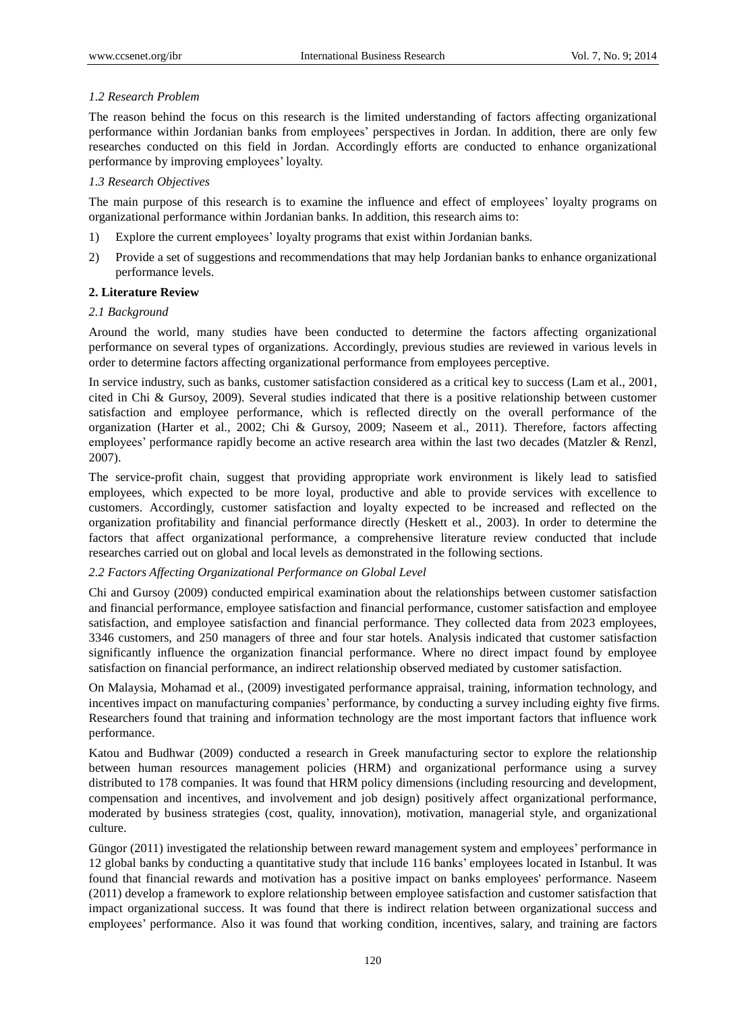# *1.2 Research Problem*

The reason behind the focus on this research is the limited understanding of factors affecting organizational performance within Jordanian banks from employees' perspectives in Jordan. In addition, there are only few researches conducted on this field in Jordan. Accordingly efforts are conducted to enhance organizational performance by improving employees' loyalty.

# *1.3 Research Objectives*

The main purpose of this research is to examine the influence and effect of employees' loyalty programs on organizational performance within Jordanian banks. In addition, this research aims to:

- 1) Explore the current employees' loyalty programs that exist within Jordanian banks.
- 2) Provide a set of suggestions and recommendations that may help Jordanian banks to enhance organizational performance levels.

# **2. Literature Review**

# *2.1 Background*

Around the world, many studies have been conducted to determine the factors affecting organizational performance on several types of organizations. Accordingly, previous studies are reviewed in various levels in order to determine factors affecting organizational performance from employees perceptive.

In service industry, such as banks, customer satisfaction considered as a critical key to success (Lam et al., 2001, cited in Chi & Gursoy, 2009). Several studies indicated that there is a positive relationship between customer satisfaction and employee performance, which is reflected directly on the overall performance of the organization (Harter et al., 2002; Chi & Gursoy, 2009; Naseem et al., 2011). Therefore, factors affecting employees' performance rapidly become an active research area within the last two decades (Matzler & Renzl, 2007).

The service-profit chain, suggest that providing appropriate work environment is likely lead to satisfied employees, which expected to be more loyal, productive and able to provide services with excellence to customers. Accordingly, customer satisfaction and loyalty expected to be increased and reflected on the organization profitability and financial performance directly (Heskett et al., 2003). In order to determine the factors that affect organizational performance, a comprehensive literature review conducted that include researches carried out on global and local levels as demonstrated in the following sections.

# *2.2 Factors Affecting Organizational Performance on Global Level*

Chi and Gursoy (2009) conducted empirical examination about the relationships between customer satisfaction and financial performance, employee satisfaction and financial performance, customer satisfaction and employee satisfaction, and employee satisfaction and financial performance. They collected data from 2023 employees, 3346 customers, and 250 managers of three and four star hotels. Analysis indicated that customer satisfaction significantly influence the organization financial performance. Where no direct impact found by employee satisfaction on financial performance, an indirect relationship observed mediated by customer satisfaction.

On Malaysia, Mohamad et al., (2009) investigated performance appraisal, training, information technology, and incentives impact on manufacturing companies' performance, by conducting a survey including eighty five firms. Researchers found that training and information technology are the most important factors that influence work performance.

Katou and Budhwar (2009) conducted a research in Greek manufacturing sector to explore the relationship between human resources management policies (HRM) and organizational performance using a survey distributed to 178 companies. It was found that HRM policy dimensions (including resourcing and development, compensation and incentives, and involvement and job design) positively affect organizational performance, moderated by business strategies (cost, quality, innovation), motivation, managerial style, and organizational culture.

Güngor (2011) investigated the relationship between reward management system and employees' performance in 12 global banks by conducting a quantitative study that include 116 banks' employees located in Istanbul. It was found that financial rewards and motivation has a positive impact on banks employees' performance. Naseem (2011) develop a framework to explore relationship between employee satisfaction and customer satisfaction that impact organizational success. It was found that there is indirect relation between organizational success and employees' performance. Also it was found that working condition, incentives, salary, and training are factors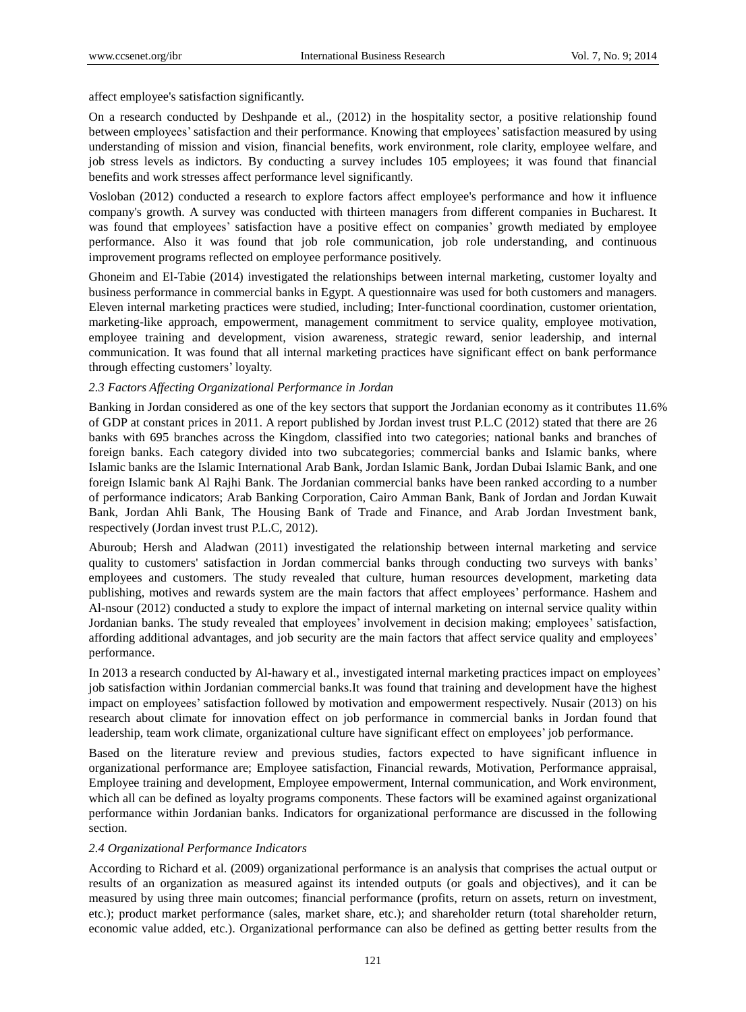affect employee's satisfaction significantly.

On a research conducted by Deshpande et al., (2012) in the hospitality sector, a positive relationship found between employees'satisfaction and their performance. Knowing that employees'satisfaction measured by using understanding of mission and vision, financial benefits, work environment, role clarity, employee welfare, and job stress levels as indictors. By conducting a survey includes 105 employees; it was found that financial benefits and work stresses affect performance level significantly.

Vosloban (2012) conducted a research to explore factors affect employee's performance and how it influence company's growth. A survey was conducted with thirteen managers from different companies in Bucharest. It was found that employees' satisfaction have a positive effect on companies' growth mediated by employee performance. Also it was found that job role communication, job role understanding, and continuous improvement programs reflected on employee performance positively.

Ghoneim and El-Tabie (2014) investigated the relationships between internal marketing, customer loyalty and business performance in commercial banks in Egypt. A questionnaire was used for both customers and managers. Eleven internal marketing practices were studied, including; Inter-functional coordination, customer orientation, marketing-like approach, empowerment, management commitment to service quality, employee motivation, employee training and development, vision awareness, strategic reward, senior leadership, and internal communication. It was found that all internal marketing practices have significant effect on bank performance through effecting customers' loyalty.

#### *2.3 Factors Affecting Organizational Performance in Jordan*

Banking in Jordan considered as one of the key sectors that support the Jordanian economy as it contributes 11.6% of GDP at constant prices in 2011. A report published by Jordan invest trust P.L.C (2012) stated that there are 26 banks with 695 branches across the Kingdom, classified into two categories; national banks and branches of foreign banks. Each category divided into two subcategories; commercial banks and Islamic banks, where Islamic banks are the Islamic International Arab Bank, Jordan Islamic Bank, Jordan Dubai Islamic Bank, and one foreign Islamic bank Al Rajhi Bank. The Jordanian commercial banks have been ranked according to a number of performance indicators; Arab Banking Corporation, Cairo Amman Bank, Bank of Jordan and Jordan Kuwait Bank, Jordan Ahli Bank, The Housing Bank of Trade and Finance, and Arab Jordan Investment bank, respectively (Jordan invest trust P.L.C, 2012).

Aburoub; Hersh and Aladwan (2011) investigated the relationship between internal marketing and service quality to customers' satisfaction in Jordan commercial banks through conducting two surveys with banks' employees and customers. The study revealed that culture, human resources development, marketing data publishing, motives and rewards system are the main factors that affect employees' performance. Hashem and Al-nsour (2012) conducted a study to explore the impact of internal marketing on internal service quality within Jordanian banks. The study revealed that employees' involvement in decision making; employees' satisfaction, affording additional advantages, and job security are the main factors that affect service quality and employees' performance.

In 2013 a research conducted by Al-hawary et al., investigated internal marketing practices impact on employees' job satisfaction within Jordanian commercial banks.It was found that training and development have the highest impact on employees' satisfaction followed by motivation and empowerment respectively. Nusair (2013) on his research about climate for innovation effect on job performance in commercial banks in Jordan found that leadership, team work climate, organizational culture have significant effect on employees' job performance.

Based on the literature review and previous studies, factors expected to have significant influence in organizational performance are; Employee satisfaction, Financial rewards, Motivation, Performance appraisal, Employee training and development, Employee empowerment, Internal communication, and Work environment, which all can be defined as loyalty programs components. These factors will be examined against organizational performance within Jordanian banks. Indicators for organizational performance are discussed in the following section.

## *2.4 Organizational Performance Indicators*

According to Richard et al. (2009) organizational performance is an analysis that comprises the actual output or results of an [organization](http://en.wikipedia.org/wiki/Organization) as measured against its intended outputs (or [goals](http://en.wikipedia.org/wiki/Objective_%28goal%29) and objectives), and it can be measured by using three main outcomes; financial performance (profits, return on assets, return on investment, etc.); product market performance (sales, market share, etc.); and shareholder return (total shareholder return, economic value added, etc.). Organizational performance can also be defined as getting better results from the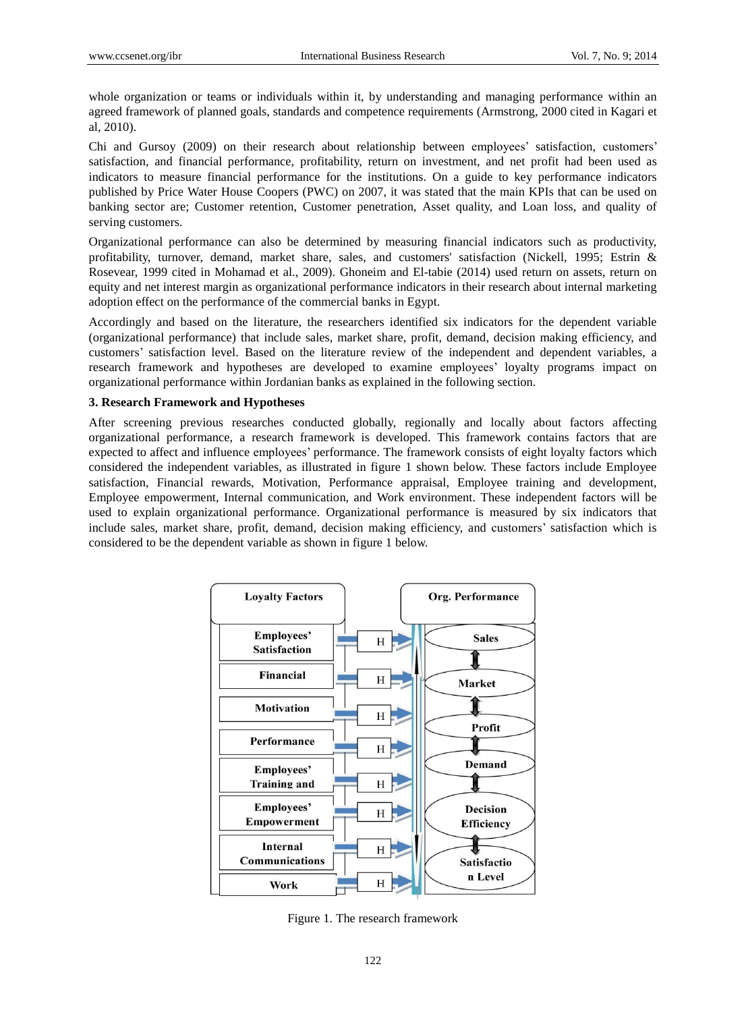whole organization or teams or individuals within it, by understanding and managing performance within an agreed framework of planned goals, standards and competence requirements (Armstrong, 2000 cited in Kagari et al, 2010).

Chi and Gursoy (2009) on their research about relationship between employees' satisfaction, customers' satisfaction, and financial performance, profitability, return on investment, and net profit had been used as indicators to measure financial performance for the institutions. On a guide to key performance indicators published by Price Water House Coopers (PWC) on 2007, it was stated that the main KPIs that can be used on banking sector are; Customer retention, Customer penetration, Asset quality, and Loan loss, and quality of serving customers.

Organizational performance can also be determined by measuring financial indicators such as productivity, profitability, turnover, demand, market share, sales, and customers' satisfaction (Nickell, 1995; Estrin & Rosevear, 1999 cited in Mohamad et al., 2009). Ghoneim and El-tabie (2014) used return on assets, return on equity and net interest margin as organizational performance indicators in their research about internal marketing adoption effect on the performance of the commercial banks in Egypt.

Accordingly and based on the literature, the researchers identified six indicators for the dependent variable (organizational performance) that include sales, market share, profit, demand, decision making efficiency, and customers' satisfaction level. Based on the literature review of the independent and dependent variables, a research framework and hypotheses are developed to examine employees' loyalty programs impact on organizational performance within Jordanian banks as explained in the following section.

# **3. Research Framework and Hypotheses**

After screening previous researches conducted globally, regionally and locally about factors affecting organizational performance, a research framework is developed. This framework contains factors that are expected to affect and influence employees' performance. The framework consists of eight loyalty factors which considered the independent variables, as illustrated in figure 1 shown below. These factors include Employee satisfaction, Financial rewards, Motivation, Performance appraisal, Employee training and development, Employee empowerment, Internal communication, and Work environment. These independent factors will be used to explain organizational performance. Organizational performance is measured by six indicators that include sales, market share, profit, demand, decision making efficiency, and customers' satisfaction which is considered to be the dependent variable as shown in figure 1 below.



Figure 1. The research framework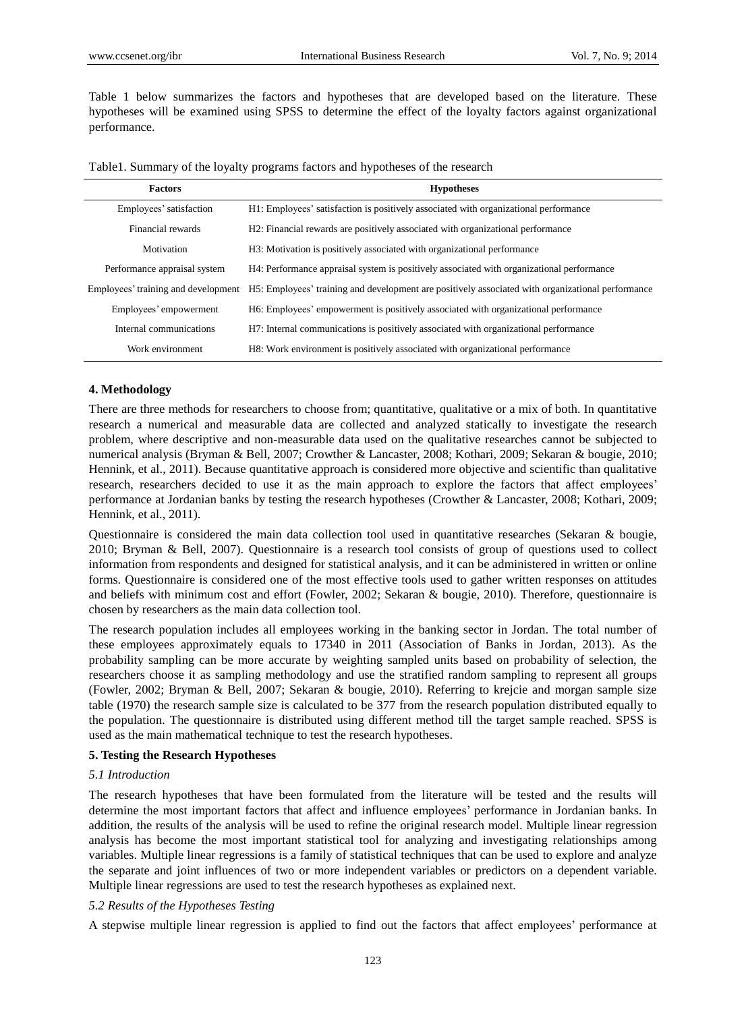Table 1 below summarizes the factors and hypotheses that are developed based on the literature. These hypotheses will be examined using SPSS to determine the effect of the loyalty factors against organizational performance.

|  |  |  | Table1. Summary of the loyalty programs factors and hypotheses of the research |
|--|--|--|--------------------------------------------------------------------------------|
|  |  |  |                                                                                |

| <b>Factors</b>                      | <b>Hypotheses</b>                                                                                 |
|-------------------------------------|---------------------------------------------------------------------------------------------------|
| Employees' satisfaction             | H1: Employees' satisfaction is positively associated with organizational performance              |
| Financial rewards                   | H2: Financial rewards are positively associated with organizational performance                   |
| Motivation                          | H3: Motivation is positively associated with organizational performance                           |
| Performance appraisal system        | H4: Performance appraisal system is positively associated with organizational performance         |
| Employees' training and development | H5: Employees' training and development are positively associated with organizational performance |
| Employees' empowerment              | H6: Employees' empowerment is positively associated with organizational performance               |
| Internal communications             | H7: Internal communications is positively associated with organizational performance              |
| Work environment                    | H8: Work environment is positively associated with organizational performance                     |

#### **4. Methodology**

There are three methods for researchers to choose from; quantitative, qualitative or a mix of both. In quantitative research a numerical and measurable data are collected and analyzed statically to investigate the research problem, where descriptive and non-measurable data used on the qualitative researches cannot be subjected to numerical analysis (Bryman & Bell, 2007; Crowther & Lancaster, 2008; Kothari, 2009; Sekaran & bougie, 2010; Hennink, et al., 2011). Because quantitative approach is considered more objective and scientific than qualitative research, researchers decided to use it as the main approach to explore the factors that affect employees' performance at Jordanian banks by testing the research hypotheses (Crowther & Lancaster, 2008; Kothari, 2009; Hennink, et al., 2011).

Questionnaire is considered the main data collection tool used in quantitative researches (Sekaran & bougie, 2010; Bryman & Bell, 2007). Questionnaire is a [research](http://en.wikipedia.org/wiki/Research) tool consists of group of [questions](http://en.wikipedia.org/wiki/Question) used to collect information from respondents and designed for statistical analysis, and it can be administered in written or online forms. Questionnaire is considered one of the most effective tools used to gather written responses on attitudes and beliefs with minimum cost and effort (Fowler, 2002; Sekaran & bougie, 2010). Therefore, questionnaire is chosen by researchers as the main data collection tool.

The research population includes all employees working in the banking sector in Jordan. The total number of these employees approximately equals to 17340 in 2011 (Association of Banks in Jordan, 2013). As the probability sampling can be more accurate by weighting sampled units based on probability of selection, the researchers choose it as sampling methodology and use the stratified random sampling to represent all groups (Fowler, 2002; Bryman & Bell, 2007; Sekaran & bougie, 2010). Referring to krejcie and morgan sample size table (1970) the research sample size is calculated to be 377 from the research population distributed equally to the population. The questionnaire is distributed using different method till the target sample reached. SPSS is used as the main mathematical technique to test the research hypotheses.

#### **5. Testing the Research Hypotheses**

#### *5.1 Introduction*

The research hypotheses that have been formulated from the literature will be tested and the results will determine the most important factors that affect and influence employees' performance in Jordanian banks. In addition, the results of the analysis will be used to refine the original research model. Multiple linear regression analysis has become the most important statistical tool for analyzing and investigating relationships among variables. Multiple linear regressions is a family of statistical techniques that can be used to explore and analyze the separate and joint influences of two or more independent variables or predictors on a dependent variable. Multiple linear regressions are used to test the research hypotheses as explained next.

#### *5.2 Results of the Hypotheses Testing*

A stepwise multiple linear regression is applied to find out the factors that affect employees' performance at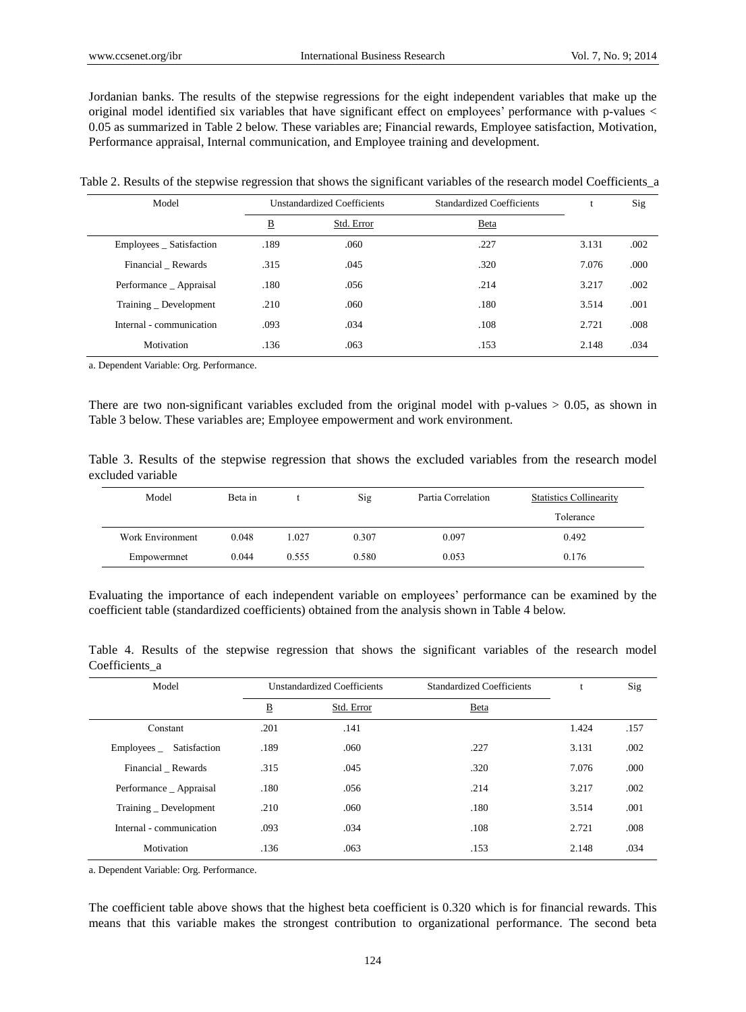Jordanian banks. The results of the stepwise regressions for the eight independent variables that make up the original model identified six variables that have significant effect on employees' performance with p-values < 0.05 as summarized in Table 2 below. These variables are; Financial rewards, Employee satisfaction, Motivation, Performance appraisal, Internal communication, and Employee training and development.

| Table 2. Results of the stepwise regression that shows the significant variables of the research model Coefficients_a |  |  |  |
|-----------------------------------------------------------------------------------------------------------------------|--|--|--|
|                                                                                                                       |  |  |  |

| Model                    |                         | <b>Unstandardized Coefficients</b> | <b>Standardized Coefficients</b> |       | Sig  |
|--------------------------|-------------------------|------------------------------------|----------------------------------|-------|------|
|                          | $\overline{\mathbf{B}}$ | Std. Error                         | Beta                             |       |      |
| Employees _ Satisfaction | .189                    | .060                               | .227                             | 3.131 | .002 |
| Financial _ Rewards      | .315                    | .045                               | .320                             | 7.076 | .000 |
| Performance _ Appraisal  | .180                    | .056                               | .214                             | 3.217 | .002 |
| Training _ Development   | .210                    | .060                               | .180                             | 3.514 | .001 |
| Internal - communication | .093                    | .034                               | .108                             | 2.721 | .008 |
| Motivation               | .136                    | .063                               | .153                             | 2.148 | .034 |

a. Dependent Variable: Org. Performance.

There are two non-significant variables excluded from the original model with p-values  $> 0.05$ , as shown in Table 3 below. These variables are; Employee empowerment and work environment.

Table 3. Results of the stepwise regression that shows the excluded variables from the research model excluded variable

| Model            | Beta in |       | Sig   | Partia Correlation | <b>Statistics Collinearity</b> |
|------------------|---------|-------|-------|--------------------|--------------------------------|
|                  |         |       |       |                    | Tolerance                      |
| Work Environment | 0.048   | 1.027 | 0.307 | 0.097              | 0.492                          |
| Empowermnet      | 0.044   | 0.555 | 0.580 | 0.053              | 0.176                          |

Evaluating the importance of each independent variable on employees' performance can be examined by the coefficient table (standardized coefficients) obtained from the analysis shown in Table 4 below.

Table 4. Results of the stepwise regression that shows the significant variables of the research model Coefficients\_a

| Model                    |                         | <b>Unstandardized Coefficients</b> | <b>Standardized Coefficients</b> |       | Sig  |
|--------------------------|-------------------------|------------------------------------|----------------------------------|-------|------|
|                          | $\overline{\mathbf{B}}$ | Std. Error                         | Beta                             |       |      |
| Constant                 | .201                    | .141                               |                                  | 1.424 | .157 |
| Satisfaction<br>Employes | .189                    | .060                               | .227                             | 3.131 | .002 |
| Financial Rewards        | .315                    | .045                               | .320                             | 7.076 | .000 |
| Performance _ Appraisal  | .180                    | .056                               | .214                             | 3.217 | .002 |
| Training _ Development   | .210                    | .060                               | .180                             | 3.514 | .001 |
| Internal - communication | .093                    | .034                               | .108                             | 2.721 | .008 |
| Motivation               | .136                    | .063                               | .153                             | 2.148 | .034 |

a. Dependent Variable: Org. Performance.

The coefficient table above shows that the highest beta coefficient is 0.320 which is for financial rewards. This means that this variable makes the strongest contribution to organizational performance. The second beta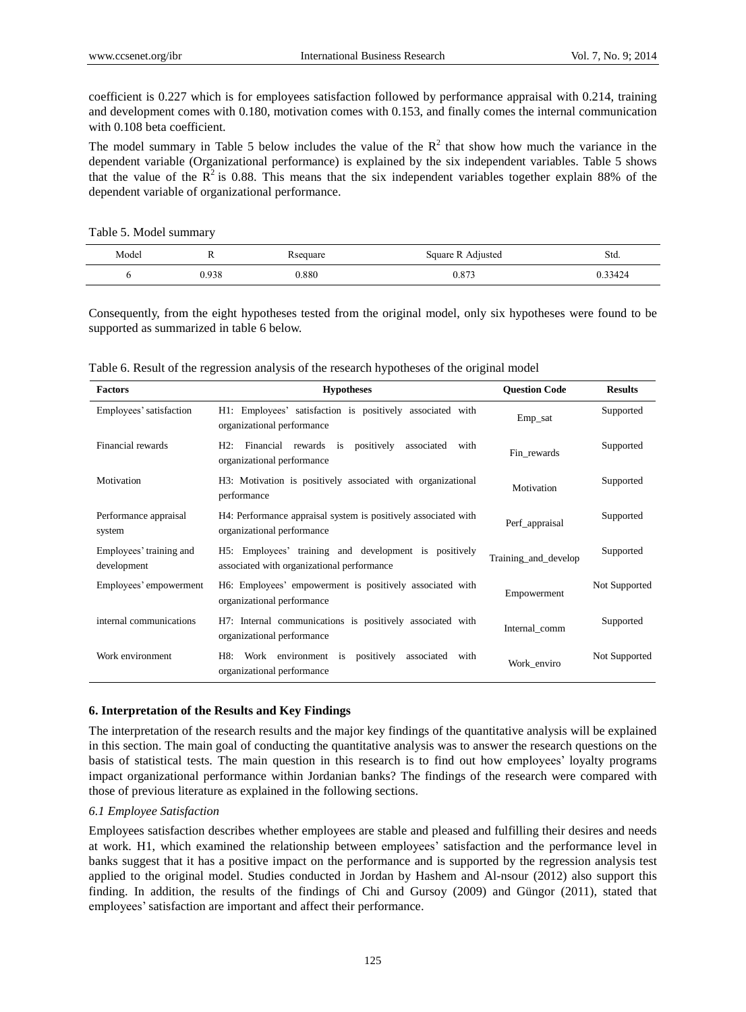coefficient is 0.227 which is for employees satisfaction followed by performance appraisal with 0.214, training and development comes with 0.180, motivation comes with 0.153, and finally comes the internal communication with 0.108 beta coefficient.

The model summary in Table 5 below includes the value of the  $R^2$  that show how much the variance in the dependent variable (Organizational performance) is explained by the six independent variables. Table 5 shows that the value of the  $R^2$  is 0.88. This means that the six independent variables together explain 88% of the dependent variable of organizational performance.

#### Table 5. Model summary

| Model | 11    | Rsequare | Square R Adjusted | Std.    |
|-------|-------|----------|-------------------|---------|
|       | 0.938 | 0.880    | $0.87^{\circ}$    | ).33424 |

Consequently, from the eight hypotheses tested from the original model, only six hypotheses were found to be supported as summarized in table 6 below.

|  |  |  | Table 6. Result of the regression analysis of the research hypotheses of the original model |
|--|--|--|---------------------------------------------------------------------------------------------|
|  |  |  |                                                                                             |

| <b>Factors</b>                         | <b>Hypotheses</b>                                                                                   | <b>Question Code</b> | <b>Results</b> |
|----------------------------------------|-----------------------------------------------------------------------------------------------------|----------------------|----------------|
| Employees' satisfaction                | H1: Employees' satisfaction is positively associated with<br>organizational performance             | Emp_sat              | Supported      |
| Financial rewards                      | Financial rewards is<br>positively<br>H2:<br>associated<br>with<br>organizational performance       | Fin rewards          | Supported      |
| Motivation                             | H3: Motivation is positively associated with organizational<br>performance                          | Motivation           | Supported      |
| Performance appraisal<br>system        | H4: Performance appraisal system is positively associated with<br>organizational performance        | Perf_appraisal       | Supported      |
| Employees' training and<br>development | H5: Employees' training and development is positively<br>associated with organizational performance | Training and develop | Supported      |
| Employees' empowerment                 | H6: Employees' empowerment is positively associated with<br>organizational performance              | Empowerment          | Not Supported  |
| internal communications                | H7: Internal communications is positively associated with<br>organizational performance             | Internal comm        | Supported      |
| Work environment                       | H8: Work environment is positively<br>associated<br>with<br>organizational performance              | Work_enviro          | Not Supported  |

## **6. Interpretation of the Results and Key Findings**

The interpretation of the research results and the major key findings of the quantitative analysis will be explained in this section. The main goal of conducting the quantitative analysis was to answer the research questions on the basis of statistical tests. The main question in this research is to find out how employees' loyalty programs impact organizational performance within Jordanian banks? The findings of the research were compared with those of previous literature as explained in the following sections.

# *6.1 Employee Satisfaction*

Employees satisfaction describes whether employees are stable and pleased and fulfilling their desires and needs at work. H1, which examined the relationship between employees' satisfaction and the performance level in banks suggest that it has a positive impact on the performance and is supported by the regression analysis test applied to the original model. Studies conducted in Jordan by Hashem and Al-nsour (2012) also support this finding. In addition, the results of the findings of Chi and Gursoy (2009) and Güngor (2011), stated that employees'satisfaction are important and affect their performance.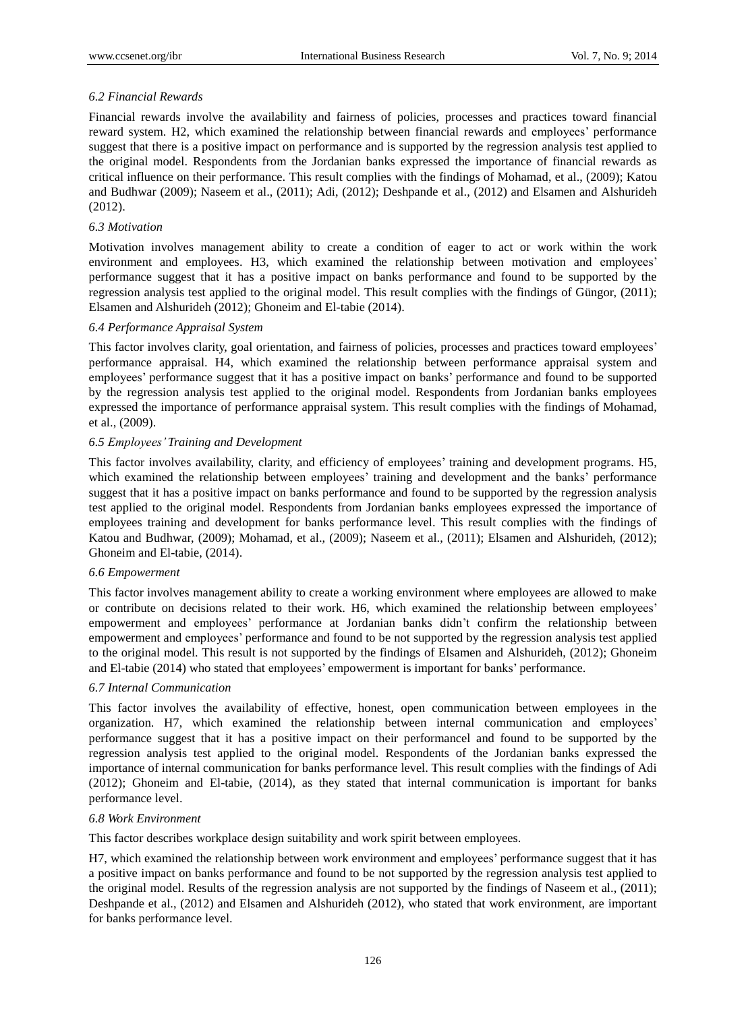# *6.2 Financial Rewards*

Financial rewards involve the availability and fairness of policies, processes and practices toward financial reward system. H2, which examined the relationship between financial rewards and employees' performance suggest that there is a positive impact on performance and is supported by the regression analysis test applied to the original model. Respondents from the Jordanian banks expressed the importance of financial rewards as critical influence on their performance. This result complies with the findings of Mohamad, et al., (2009); Katou and Budhwar (2009); Naseem et al., (2011); Adi, (2012); Deshpande et al., (2012) and Elsamen and Alshurideh (2012).

## *6.3 Motivation*

Motivation involves management ability to create a condition of eager to act or work within the work environment and employees. H3, which examined the relationship between motivation and employees' performance suggest that it has a positive impact on banks performance and found to be supported by the regression analysis test applied to the original model. This result complies with the findings of Güngor, (2011); Elsamen and Alshurideh (2012); Ghoneim and El-tabie (2014).

## *6.4 Performance Appraisal System*

This factor involves clarity, goal orientation, and fairness of policies, processes and practices toward employees' performance appraisal. H4, which examined the relationship between performance appraisal system and employees' performance suggest that it has a positive impact on banks' performance and found to be supported by the regression analysis test applied to the original model. Respondents from Jordanian banks employees expressed the importance of performance appraisal system. This result complies with the findings of Mohamad, et al., (2009).

## *6.5 Employees'Training and Development*

This factor involves availability, clarity, and efficiency of employees' training and development programs. H5, which examined the relationship between employees' training and development and the banks' performance suggest that it has a positive impact on banks performance and found to be supported by the regression analysis test applied to the original model. Respondents from Jordanian banks employees expressed the importance of employees training and development for banks performance level. This result complies with the findings of Katou and Budhwar, (2009); Mohamad, et al., (2009); Naseem et al., (2011); Elsamen and Alshurideh, (2012); Ghoneim and El-tabie, (2014).

## *6.6 Empowerment*

This factor involves management ability to create a working environment where employees are allowed to make or contribute on decisions related to their work. H6, which examined the relationship between employees' empowerment and employees' performance at Jordanian banks didn't confirm the relationship between empowerment and employees' performance and found to be not supported by the regression analysis test applied to the original model. This result is not supported by the findings of Elsamen and Alshurideh, (2012); Ghoneim and El-tabie (2014) who stated that employees' empowerment is important for banks' performance.

## *6.7 Internal Communication*

This factor involves the availability of effective, honest, open communication between employees in the organization. H7, which examined the relationship between internal communication and employees' performance suggest that it has a positive impact on their performancel and found to be supported by the regression analysis test applied to the original model. Respondents of the Jordanian banks expressed the importance of internal communication for banks performance level. This result complies with the findings of Adi (2012); Ghoneim and El-tabie, (2014), as they stated that internal communication is important for banks performance level.

## *6.8 Work Environment*

This factor describes workplace design suitability and work spirit between employees.

H7, which examined the relationship between work environment and employees' performance suggest that it has a positive impact on banks performance and found to be not supported by the regression analysis test applied to the original model. Results of the regression analysis are not supported by the findings of Naseem et al., (2011); Deshpande et al., (2012) and Elsamen and Alshurideh (2012), who stated that work environment, are important for banks performance level.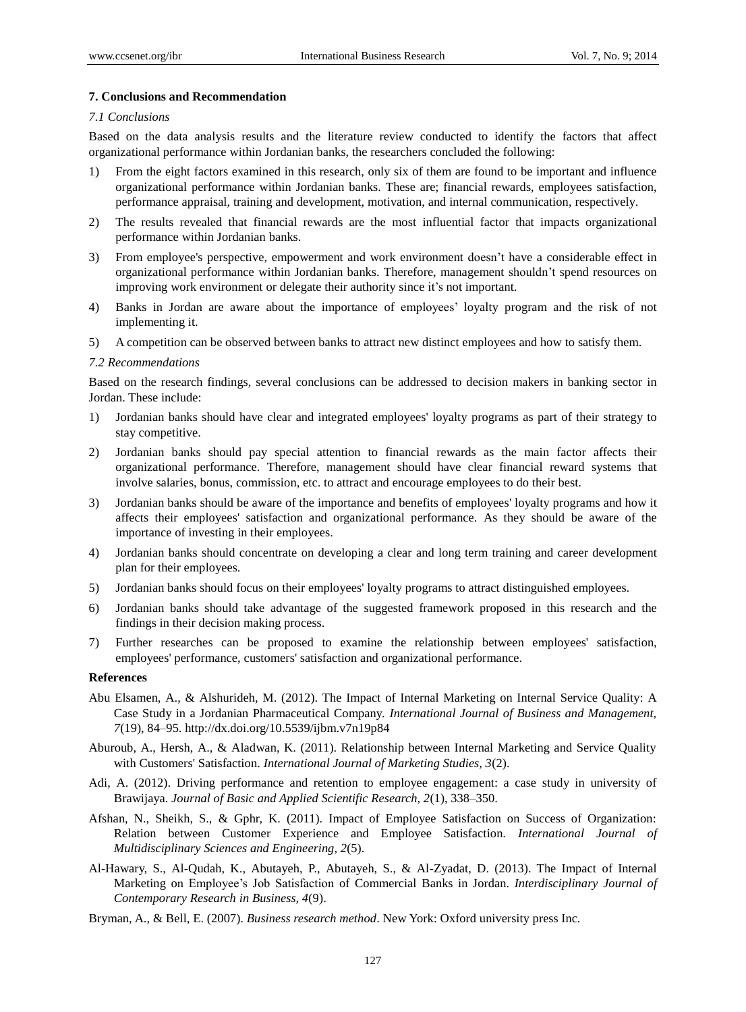#### **7. Conclusions and Recommendation**

# *7.1 Conclusions*

Based on the data analysis results and the literature review conducted to identify the factors that affect organizational performance within Jordanian banks, the researchers concluded the following:

- 1) From the eight factors examined in this research, only six of them are found to be important and influence organizational performance within Jordanian banks. These are; financial rewards, employees satisfaction, performance appraisal, training and development, motivation, and internal communication, respectively.
- 2) The results revealed that financial rewards are the most influential factor that impacts organizational performance within Jordanian banks.
- 3) From employee's perspective, empowerment and work environment doesn't have a considerable effect in organizational performance within Jordanian banks. Therefore, management shouldn't spend resources on improving work environment or delegate their authority since it's not important.
- 4) Banks in Jordan are aware about the importance of employees' loyalty program and the risk of not implementing it.
- 5) A competition can be observed between banks to attract new distinct employees and how to satisfy them.

#### *7.2 Recommendations*

Based on the research findings, several conclusions can be addressed to decision makers in banking sector in Jordan. These include:

- 1) Jordanian banks should have clear and integrated employees' loyalty programs as part of their strategy to stay competitive.
- 2) Jordanian banks should pay special attention to financial rewards as the main factor affects their organizational performance. Therefore, management should have clear financial reward systems that involve salaries, bonus, commission, etc. to attract and encourage employees to do their best.
- 3) Jordanian banks should be aware of the importance and benefits of employees' loyalty programs and how it affects their employees' satisfaction and organizational performance. As they should be aware of the importance of investing in their employees.
- 4) Jordanian banks should concentrate on developing a clear and long term training and career development plan for their employees.
- 5) Jordanian banks should focus on their employees' loyalty programs to attract distinguished employees.
- 6) Jordanian banks should take advantage of the suggested framework proposed in this research and the findings in their decision making process.
- 7) Further researches can be proposed to examine the relationship between employees' satisfaction, employees' performance, customers' satisfaction and organizational performance.

#### **References**

- Abu Elsamen, A., & Alshurideh, M. (2012). The Impact of Internal Marketing on Internal Service Quality: A Case Study in a Jordanian Pharmaceutical Company. *International Journal of Business and Management, 7*(19), 84–95. http://dx.doi.org/10.5539/ijbm.v7n19p84
- Aburoub, A., Hersh, A., & Aladwan, K. (2011). Relationship between Internal Marketing and Service Quality with Customers' Satisfaction. *International Journal of Marketing Studies, 3*(2).
- Adi, A. (2012). Driving performance and retention to employee engagement: a case study in university of Brawijaya. *Journal of Basic and Applied Scientific Research, 2*(1), 338–350.
- Afshan, N., Sheikh, S., & Gphr, K. (2011). Impact of Employee Satisfaction on Success of Organization: Relation between Customer Experience and Employee Satisfaction. *International Journal of Multidisciplinary Sciences and Engineering, 2*(5).
- Al-Hawary, S., Al-Qudah, K., Abutayeh, P., Abutayeh, S., & Al-Zyadat, D. (2013). The Impact of Internal Marketing on Employee's Job Satisfaction of Commercial Banks in Jordan. *Interdisciplinary Journal of Contemporary Research in Business, 4*(9).
- Bryman, A., & Bell, E. (2007). *Business research method*. New York: Oxford university press Inc.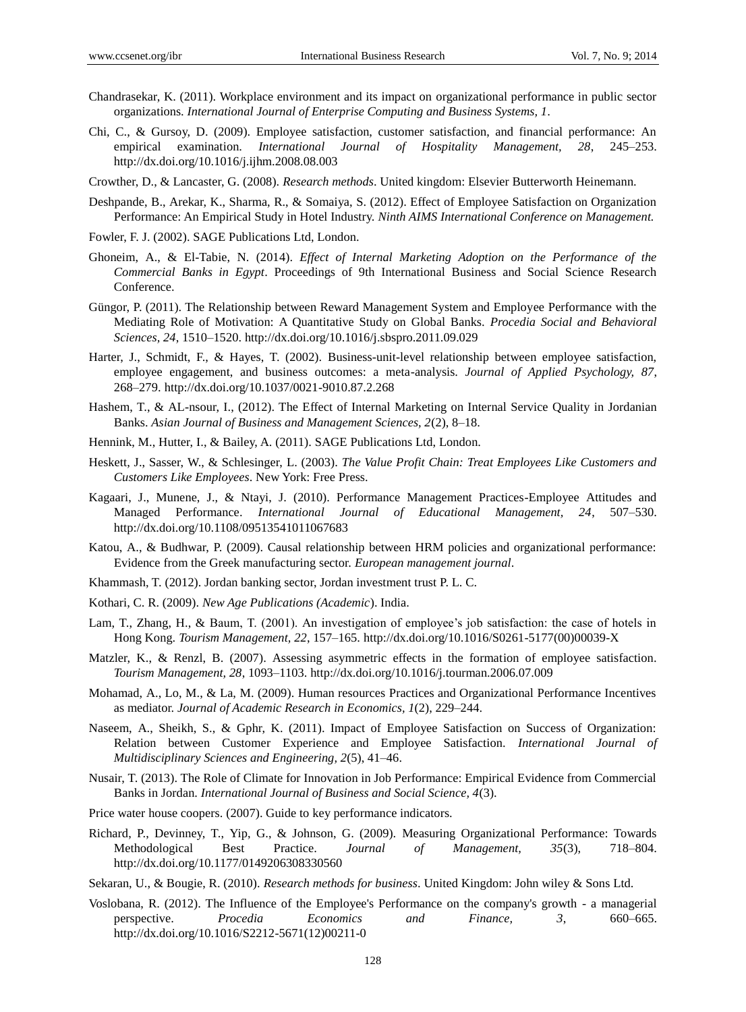- Chandrasekar, K. (2011). Workplace environment and its impact on organizational performance in public sector organizations. *International Journal of Enterprise Computing and Business Systems, 1.*
- Chi, C., & Gursoy, D. (2009). Employee satisfaction, customer satisfaction, and financial performance: An empirical examination. *International Journal of Hospitality Management, 28*, 245–253. http://dx.doi.org/10.1016/j.ijhm.2008.08.003
- Crowther, D., & Lancaster, G. (2008). *Research methods*. United kingdom: Elsevier Butterworth Heinemann.
- Deshpande, B., Arekar, K., Sharma, R., & Somaiya, S. (2012). Effect of Employee Satisfaction on Organization Performance: An Empirical Study in Hotel Industry. *Ninth AIMS International Conference on Management.*
- Fowler, F. J. (2002). SAGE Publications Ltd, London.
- Ghoneim, A., & El-Tabie, N. (2014). *Effect of Internal Marketing Adoption on the Performance of the Commercial Banks in Egypt*. Proceedings of 9th International Business and Social Science Research Conference.
- Güngor, P. (2011). The Relationship between Reward Management System and Employee Performance with the Mediating Role of Motivation: A Quantitative Study on Global Banks. *Procedia Social and Behavioral Sciences, 24*, 1510–1520. http://dx.doi.org/10.1016/j.sbspro.2011.09.029
- Harter, J., Schmidt, F., & Hayes, T. (2002). Business-unit-level relationship between employee satisfaction, employee engagement, and business outcomes: a meta-analysis. *Journal of Applied Psychology, 87*, 268–279. http://dx.doi.org/10.1037/0021-9010.87.2.268
- Hashem, T., & AL-nsour, I., (2012). The Effect of Internal Marketing on Internal Service Quality in Jordanian Banks. *Asian Journal of Business and Management Sciences, 2*(2), 8–18.
- Hennink, M., Hutter, I., & Bailey, A. (2011). SAGE Publications Ltd, London.
- Heskett, J., Sasser, W., & Schlesinger, L. (2003). *The Value Profit Chain: Treat Employees Like Customers and Customers Like Employees*. New York: Free Press.
- Kagaari, J., Munene, J., & Ntayi, J. (2010). Performance Management Practices-Employee Attitudes and Managed Performance. *International Journal of Educational Management, 24*, 507–530. http://dx.doi.org/10.1108/09513541011067683
- Katou, A., & Budhwar, P. (2009). Causal relationship between HRM policies and organizational performance: Evidence from the Greek manufacturing sector. *European management journal*.
- Khammash, T. (2012). Jordan banking sector, Jordan investment trust P. L. C.
- Kothari, C. R. (2009). *New Age Publications (Academic*). India.
- Lam, T., Zhang, H., & Baum, T. (2001). An investigation of employee's job satisfaction: the case of hotels in Hong Kong. *Tourism Management, 22*, 157–165. http://dx.doi.org/10.1016/S0261-5177(00)00039-X
- Matzler, K., & Renzl, B. (2007). Assessing asymmetric effects in the formation of employee satisfaction. *Tourism Management, 28*, 1093–1103. http://dx.doi.org/10.1016/j.tourman.2006.07.009
- Mohamad, A., Lo, M., & La, M. (2009). Human resources Practices and Organizational Performance Incentives as mediator. *Journal of Academic Research in Economics, 1*(2), 229–244.
- Naseem, A., Sheikh, S., & Gphr, K. (2011). Impact of Employee Satisfaction on Success of Organization: Relation between Customer Experience and Employee Satisfaction. *International Journal of Multidisciplinary Sciences and Engineering, 2*(5), 41–46.
- Nusair, T. (2013). The Role of Climate for Innovation in Job Performance: Empirical Evidence from Commercial Banks in Jordan. *International Journal of Business and Social Science, 4*(3).
- Price water house coopers. (2007). Guide to key performance indicators.
- Richard, P., Devinney, T., Yip, G., & Johnson, G. (2009). Measuring Organizational Performance: Towards Methodological Best Practice. *Journal of Management, 35*(3), 718–804. http://dx.doi.org/10.1177/0149206308330560
- Sekaran, U., & Bougie, R. (2010). *Research methods for business*. United Kingdom: John wiley & Sons Ltd.
- Voslobana, R. (2012). The Influence of the Employee's Performance on the company's growth a managerial perspective. *Procedia Economics and Finance, 3*, 660–665. http://dx.doi.org/10.1016/S2212-5671(12)00211-0